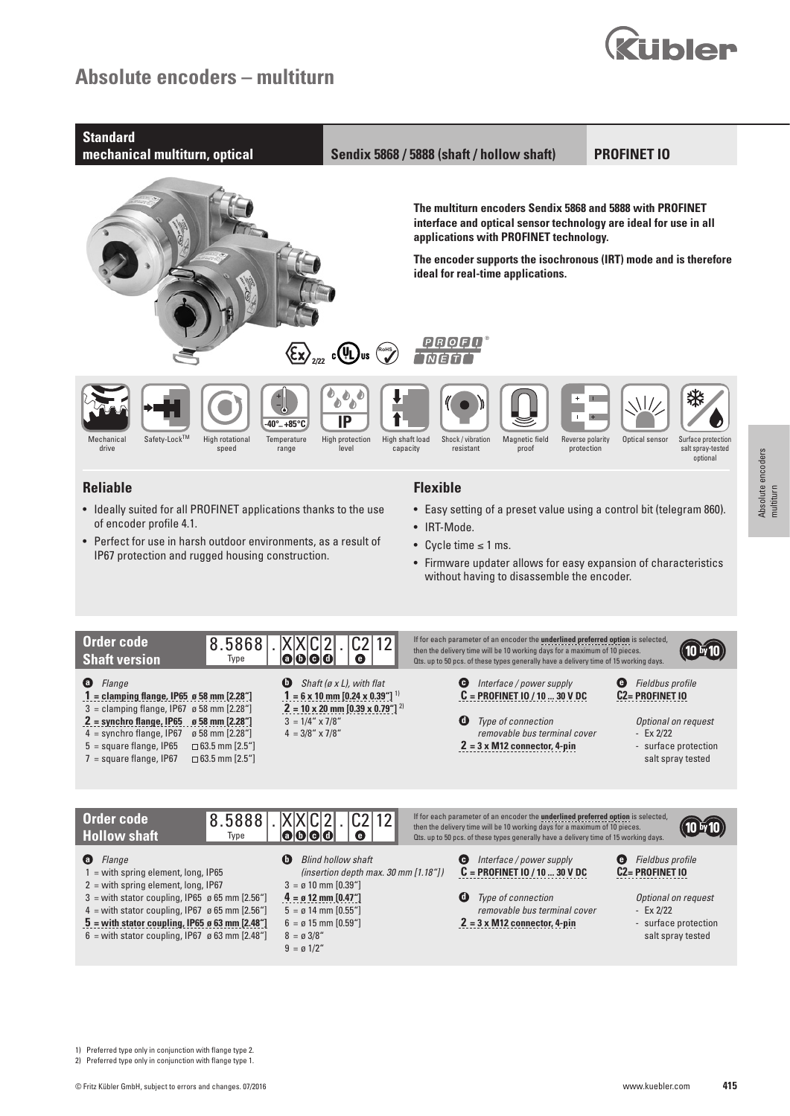# **Absolute encoders – multiturn**





- Perfect for use in harsh outdoor environments, as a result of IP67 protection and rugged housing construction.
- 
- Cycle time ≤ 1 ms.
- Firmware updater allows for easy expansion of characteristics without having to disassemble the encoder.



| Order code<br>8.5888<br><b>Hollow shaft</b><br>Type                                                                                                                                                                                                                                                                                               | $C2$  12 <br> X X C 2 <br>$\blacksquare$ $\blacksquare$ $\blacksquare$ $\blacksquare$ $\blacksquare$<br>Θ                                                                                                                                                             | If for each parameter of an encoder the underlined preferred option is selected,<br>then the delivery time will be 10 working days for a maximum of 10 pieces.<br>Ots. up to 50 pcs. of these types generally have a delivery time of 15 working days. |                                                                                                                                    |
|---------------------------------------------------------------------------------------------------------------------------------------------------------------------------------------------------------------------------------------------------------------------------------------------------------------------------------------------------|-----------------------------------------------------------------------------------------------------------------------------------------------------------------------------------------------------------------------------------------------------------------------|--------------------------------------------------------------------------------------------------------------------------------------------------------------------------------------------------------------------------------------------------------|------------------------------------------------------------------------------------------------------------------------------------|
| $\bullet$<br>Flange<br>$1 =$ with spring element, long, IP65<br>$2 =$ with spring element, long, IP67<br>$3$ = with stator coupling, IP65 $\alpha$ 65 mm [2.56"]<br>$4 =$ with stator coupling, IP67 $\alpha$ 65 mm [2.56"]<br>$5$ = with stator coupling, IP65 $\alpha$ 63 mm [2.48"]<br>$6 =$ with stator coupling, IP67 $\alpha$ 63 mm [2.48"] | Ø<br><b>Blind hollow shaft</b><br>(insertion depth max. $30 \text{ mm}$ [1.18"])<br>$3 = \emptyset$ 10 mm [0.39"]<br>$4 = \rho 12$ mm [0.47"]<br>$5 = \emptyset$ 14 mm $[0.55"$ ]<br>$6 = \emptyset$ 15 mm $[0.59'']$<br>$8 = \emptyset 3/8"$<br>$9 = \emptyset$ 1/2" | Interface / power supply<br>Θ<br>$C = PROFINITET 10 / 10  30 V DC$<br>o<br><b>Type of connection</b><br>removable bus terminal cover<br>$2 = 3 \times M12$ connector, 4-pin                                                                            | Fieldbus profile<br>C <sub>2</sub> PROFINET IO<br>Optional on request<br>- $Ex\ 2/22$<br>- surface protection<br>salt spray tested |

1) Preferred type only in conjunction with flange type 2.

2) Preferred type only in conjunction with flange type 1.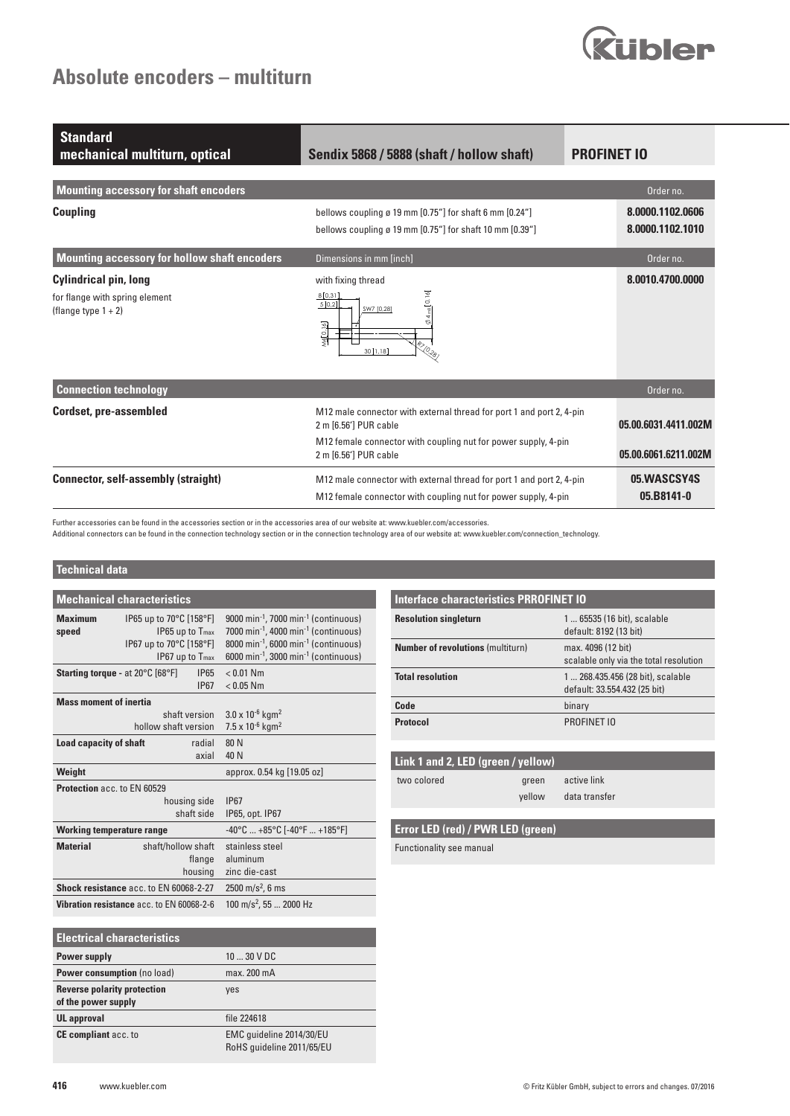

| <b>Standard</b><br>mechanical multiturn, optical                                         | Sendix 5868 / 5888 (shaft / hollow shaft)                                                                                                                                                | <b>PROFINET IO</b>                           |
|------------------------------------------------------------------------------------------|------------------------------------------------------------------------------------------------------------------------------------------------------------------------------------------|----------------------------------------------|
| <b>Mounting accessory for shaft encoders</b>                                             |                                                                                                                                                                                          | Order no.                                    |
| <b>Coupling</b>                                                                          | bellows coupling ø 19 mm $[0.75"$ for shaft 6 mm $[0.24"$<br>bellows coupling ø 19 mm [0.75"] for shaft 10 mm [0.39"]                                                                    | 8.0000.1102.0606<br>8.0000.1102.1010         |
| Mounting accessory for hollow shaft encoders                                             | Dimensions in mm [inch]                                                                                                                                                                  | Order no.                                    |
| <b>Cylindrical pin, long</b><br>for flange with spring element<br>(flange type $1 + 2$ ) | with fixing thread<br>[0.16]<br>8 0.31<br>5[0,2]<br>SW7 [0,28]<br>vi4 0,16<br><b>ITALICED</b><br>30[1,18]                                                                                | 8.0010.4700.0000                             |
| <b>Connection technology</b>                                                             |                                                                                                                                                                                          | Order no.                                    |
| <b>Cordset, pre-assembled</b>                                                            | M12 male connector with external thread for port 1 and port 2, 4-pin<br>2 m [6.56'] PUR cable<br>M12 female connector with coupling nut for power supply, 4-pin<br>2 m [6.56'] PUR cable | 05.00.6031.4411.002M<br>05.00.6061.6211.002M |
| <b>Connector, self-assembly (straight)</b>                                               | M12 male connector with external thread for port 1 and port 2, 4-pin<br>M12 female connector with coupling nut for power supply, 4-pin                                                   | 05.WASCSY4S<br>05.B8141-0                    |

Further accessories can be found in the accessories section or in the accessories area of our website at: www.kuebler.com/accessories.

Additional connectors can be found in the connection technology section or in the connection technology area of our website at: www.kuebler.com/connection\_technology.

## **Technical data**

|                                         | <b>Mechanical characteristics</b>                                                                                                     |                                                                                                                                                                                                                                                               |
|-----------------------------------------|---------------------------------------------------------------------------------------------------------------------------------------|---------------------------------------------------------------------------------------------------------------------------------------------------------------------------------------------------------------------------------------------------------------|
| <b>Maximum</b><br>speed                 | IP65 up to 70°C [158°F]<br>IP65 up to T <sub>max</sub><br>IP67 up to $70^{\circ}$ C [158 $^{\circ}$ F]<br>IP67 up to T <sub>max</sub> | 9000 min <sup>-1</sup> , 7000 min <sup>-1</sup> (continuous)<br>7000 min <sup>-1</sup> , 4000 min <sup>-1</sup> (continuous)<br>$8000 \text{ min}^{-1}$ , 6000 min <sup>-1</sup> (continuous)<br>6000 min <sup>-1</sup> , 3000 min <sup>-1</sup> (continuous) |
| <b>Starting torque - at 20°C [68°F]</b> | <b>IP65</b><br><b>IP67</b>                                                                                                            | $< 0.01$ Nm<br>$< 0.05$ Nm                                                                                                                                                                                                                                    |
| <b>Mass moment of inertia</b>           |                                                                                                                                       |                                                                                                                                                                                                                                                               |
|                                         | shaft version                                                                                                                         | $3.0 \times 10^{-6}$ kgm <sup>2</sup>                                                                                                                                                                                                                         |
|                                         | hollow shaft version                                                                                                                  | 7.5 x 10 $-6$ kgm <sup>2</sup>                                                                                                                                                                                                                                |
| <b>Load capacity of shaft</b>           | radial                                                                                                                                | 80 N                                                                                                                                                                                                                                                          |
|                                         | axial                                                                                                                                 | 40 N                                                                                                                                                                                                                                                          |
| Weight                                  |                                                                                                                                       | approx. 0.54 kg [19.05 oz]                                                                                                                                                                                                                                    |
| <b>Protection acc. to EN 60529</b>      |                                                                                                                                       |                                                                                                                                                                                                                                                               |
|                                         | housing side                                                                                                                          | <b>IP67</b>                                                                                                                                                                                                                                                   |
|                                         | shaft side                                                                                                                            | IP65, opt. IP67                                                                                                                                                                                                                                               |
| <b>Working temperature range</b>        |                                                                                                                                       | $-40^{\circ}$ C $+85^{\circ}$ C [ $-40^{\circ}$ F $+185^{\circ}$ F]                                                                                                                                                                                           |
| <b>Material</b>                         | shaft/hollow shaft                                                                                                                    | stainless steel                                                                                                                                                                                                                                               |
|                                         | flange                                                                                                                                | aluminum                                                                                                                                                                                                                                                      |
|                                         | housing                                                                                                                               | zinc die-cast                                                                                                                                                                                                                                                 |
|                                         | Shock resistance acc. to EN 60068-2-27                                                                                                | $2500 \text{ m/s}^2$ , 6 ms                                                                                                                                                                                                                                   |
|                                         | Vibration resistance acc. to EN 60068-2-6                                                                                             | 100 m/s <sup>2</sup> , 55  2000 Hz                                                                                                                                                                                                                            |

| <b>Electrical characteristics</b>                         |                                                       |
|-----------------------------------------------------------|-------------------------------------------------------|
| Power supply                                              | 10  30 V DC                                           |
| Power consumption (no load)                               | max. 200 mA                                           |
| <b>Reverse polarity protection</b><br>of the power supply | yes                                                   |
| <b>UL</b> approval                                        | file 224618                                           |
| <b>CE compliant</b> acc. to                               | EMC guideline 2014/30/EU<br>RoHS quideline 2011/65/EU |

| <b>Interface characteristics PRROFINET IO</b> |                                                                  |  |  |
|-----------------------------------------------|------------------------------------------------------------------|--|--|
| <b>Resolution singleturn</b>                  | 1  65535 (16 bit), scalable<br>default: 8192 (13 bit)            |  |  |
| <b>Number of revolutions (multiturn)</b>      | max. 4096 (12 bit)<br>scalable only via the total resolution     |  |  |
| <b>Total resolution</b>                       | 1 268.435.456 (28 bit), scalable<br>default: 33.554.432 (25 bit) |  |  |
| Code                                          | binary                                                           |  |  |
| <b>Protocol</b>                               | PROFINET IO                                                      |  |  |

| Link 1 and 2, LED (green / yellow) |        |               |  |  |
|------------------------------------|--------|---------------|--|--|
| two colored                        | areen  | active link   |  |  |
|                                    | vellow | data transfer |  |  |

## **Error LED (red) / PWR LED (green)**

Functionality see manual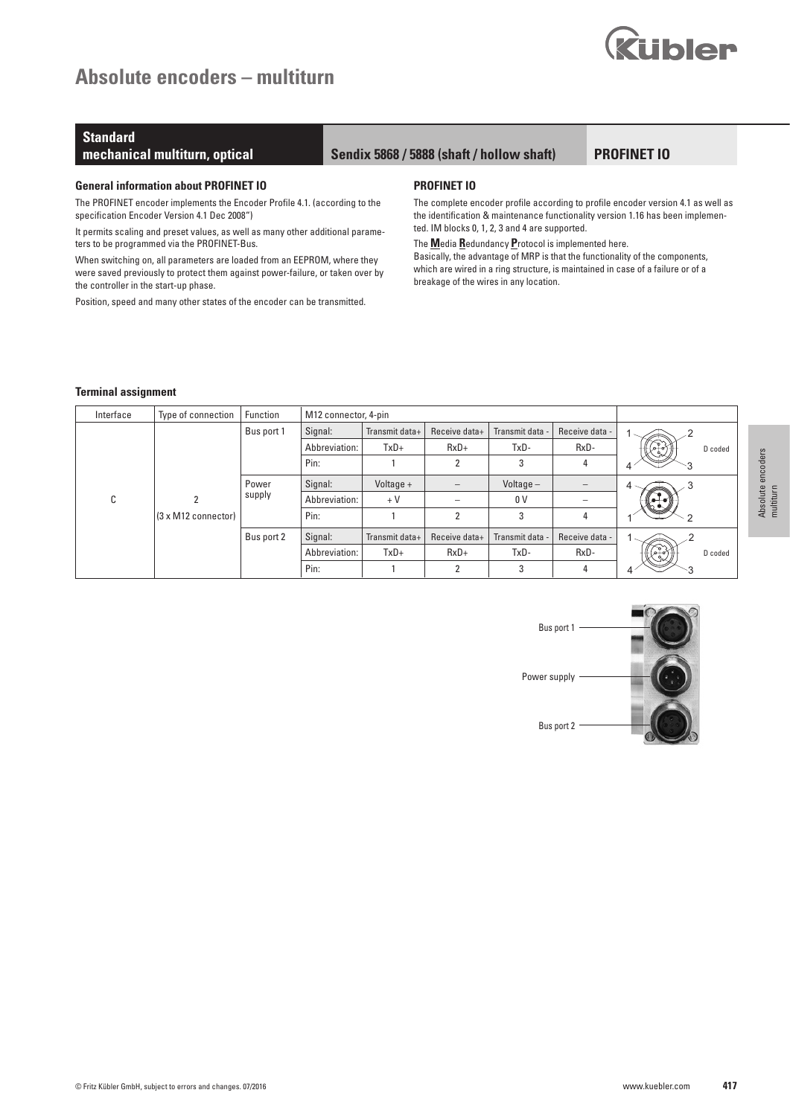# **Absolute encoders – multiturn**



# **Standard**

## **mechanical multiturn, optical Sendix 5868 / 5888 (shaft / hollow shaft)**

## **PROFINET IO**

#### **General information about PROFINET IO**

The PROFINET encoder implements the Encoder Profile 4.1. (according to the specification Encoder Version 4.1 Dec 2008")

It permits scaling and preset values, as well as many other additional parameters to be programmed via the PROFINET-Bus.

When switching on, all parameters are loaded from an EEPROM, where they were saved previously to protect them against power-failure, or taken over by the controller in the start-up phase.

Position, speed and many other states of the encoder can be transmitted.

#### **PROFINET IO**

The complete encoder profile according to profile encoder version 4.1 as well as the identification & maintenance functionality version 1.16 has been implemented. IM blocks 0, 1, 2, 3 and 4 are supported.

## The **M**edia **R**edundancy **P**rotocol is implemented here.

Basically, the advantage of MRP is that the functionality of the components, which are wired in a ring structure, is maintained in case of a failure or of a breakage of the wires in any location.

#### **Terminal assignment**

| Interface | Type of connection  | Function   |               | M12 connector, 4-pin |                          |                 |                |         |
|-----------|---------------------|------------|---------------|----------------------|--------------------------|-----------------|----------------|---------|
|           |                     | Bus port 1 | Signal:       | Transmit data+       | Receive data+            | Transmit data - | Receive data - |         |
|           |                     |            | Abbreviation: | $TxD+$               | $RxD+$                   | TxD-            | RxD-           | D coded |
|           |                     |            | Pin:          |                      | 2                        | 3               | 4              |         |
|           |                     | Power      | Signal:       | Voltage +            | $\overline{\phantom{m}}$ | Voltage $-$     |                | 4.      |
| C         |                     | supply     | Abbreviation: | $+V$                 | $\overline{\phantom{a}}$ | 0 <sup>V</sup>  |                |         |
|           | (3 x M12 connector) |            | Pin:          |                      | $\overline{2}$           | 3               | 4              |         |
|           |                     | Bus port 2 | Signal:       | Transmit data+       | Receive data+            | Transmit data - | Receive data - |         |
|           |                     |            | Abbreviation: | $TxD+$               | $RxD+$                   | TxD-            | RxD-           | D coded |
|           |                     |            | Pin:          |                      | $\overline{2}$           | 3               | 4              |         |

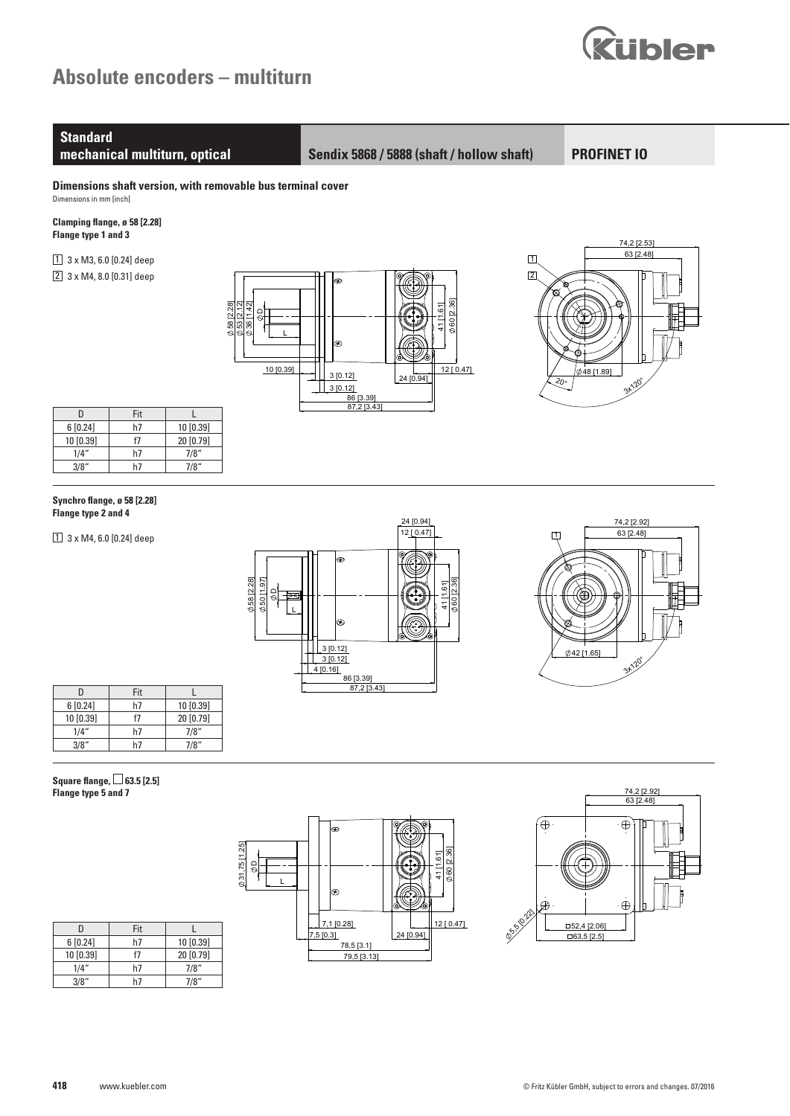

# **Standard**

**mechanical multiturn, optical Sendix 5868 / 5888 (shaft / hollow shaft)**

**PROFINET IO**

**Dimensions shaft version, with removable bus terminal cover** Dimensions in mm [inch]

**Clamping flange, ø 58 [2.28] Flange type 1 and 3** 

 $1$  3 x M3, 6.0 [0.24] deep 2 3 x M4, 8.0 [0.31] deep





| n         | Fit |           |
|-----------|-----|-----------|
| 6[0.24]   | h7  | 10 [0.39] |
| 10 [0.39] | f7  | 20 [0.79] |
| 1/4"      | h7  | 7/8''     |
| 3/8"      |     | 7/8"      |

#### **Synchro flange, ø 58 [2.28] Flange type 2 and 4**

 $1$  3 x M4, 6.0 [0.24] deep





| Π         | Fit |           |
|-----------|-----|-----------|
| 6[0.24]   | h7  | 10 [0.39] |
| 10 [0.39] | f7  | 20 [0.79] |
| 1/4"      | h7  | 7/8"      |
| 3/8"      | h7  | 7/8"      |

## **Square flange, □ 63.5 [2.5] Flange type 5 and 7**